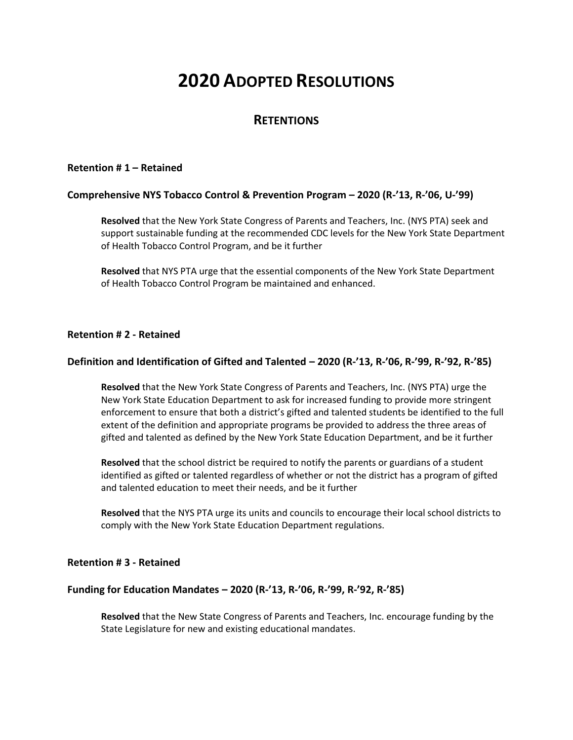# **2020 ADOPTED RESOLUTIONS**

# **RETENTIONS**

#### **Retention # 1 – Retained**

## **Comprehensive NYS Tobacco Control & Prevention Program – 2020 (R-'13, R-'06, U-'99)**

**Resolved** that the New York State Congress of Parents and Teachers, Inc. (NYS PTA) seek and support sustainable funding at the recommended CDC levels for the New York State Department of Health Tobacco Control Program, and be it further

**Resolved** that NYS PTA urge that the essential components of the New York State Department of Health Tobacco Control Program be maintained and enhanced.

#### **Retention # 2 - Retained**

## **Definition and Identification of Gifted and Talented – 2020 (R-'13, R-'06, R-'99, R-'92, R-'85)**

**Resolved** that the New York State Congress of Parents and Teachers, Inc. (NYS PTA) urge the New York State Education Department to ask for increased funding to provide more stringent enforcement to ensure that both a district's gifted and talented students be identified to the full extent of the definition and appropriate programs be provided to address the three areas of gifted and talented as defined by the New York State Education Department, and be it further

**Resolved** that the school district be required to notify the parents or guardians of a student identified as gifted or talented regardless of whether or not the district has a program of gifted and talented education to meet their needs, and be it further

**Resolved** that the NYS PTA urge its units and councils to encourage their local school districts to comply with the New York State Education Department regulations.

#### **Retention # 3 - Retained**

#### **Funding for Education Mandates – 2020 (R-'13, R-'06, R-'99, R-'92, R-'85)**

**Resolved** that the New State Congress of Parents and Teachers, Inc. encourage funding by the State Legislature for new and existing educational mandates.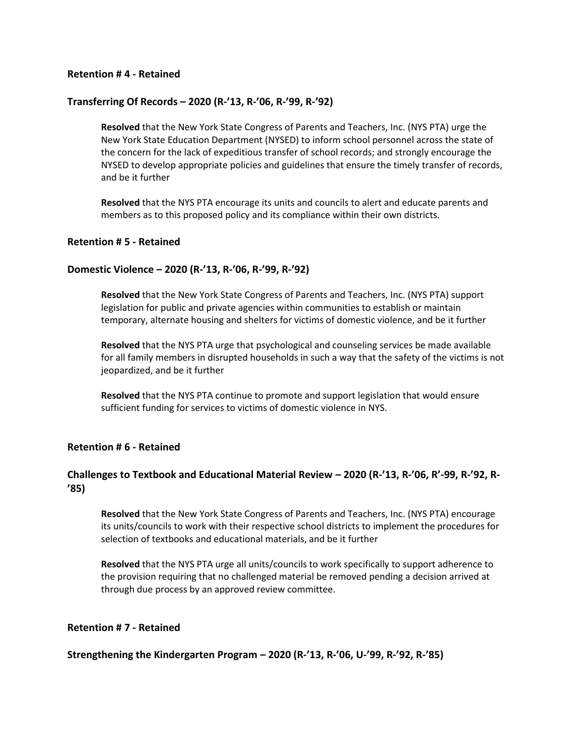## **Retention # 4 - Retained**

## **Transferring Of Records – 2020 (R-'13, R-'06, R-'99, R-'92)**

**Resolved** that the New York State Congress of Parents and Teachers, Inc. (NYS PTA) urge the New York State Education Department (NYSED) to inform school personnel across the state of the concern for the lack of expeditious transfer of school records; and strongly encourage the NYSED to develop appropriate policies and guidelines that ensure the timely transfer of records, and be it further

**Resolved** that the NYS PTA encourage its units and councils to alert and educate parents and members as to this proposed policy and its compliance within their own districts.

#### **Retention # 5 - Retained**

#### **Domestic Violence – 2020 (R-'13, R-'06, R-'99, R-'92)**

**Resolved** that the New York State Congress of Parents and Teachers, Inc. (NYS PTA) support legislation for public and private agencies within communities to establish or maintain temporary, alternate housing and shelters for victims of domestic violence, and be it further

**Resolved** that the NYS PTA urge that psychological and counseling services be made available for all family members in disrupted households in such a way that the safety of the victims is not jeopardized, and be it further

**Resolved** that the NYS PTA continue to promote and support legislation that would ensure sufficient funding for services to victims of domestic violence in NYS.

#### **Retention # 6 - Retained**

## **Challenges to Textbook and Educational Material Review – 2020 (R-'13, R-'06, R'-99, R-'92, R- '85)**

**Resolved** that the New York State Congress of Parents and Teachers, Inc. (NYS PTA) encourage its units/councils to work with their respective school districts to implement the procedures for selection of textbooks and educational materials, and be it further

**Resolved** that the NYS PTA urge all units/councils to work specifically to support adherence to the provision requiring that no challenged material be removed pending a decision arrived at through due process by an approved review committee.

#### **Retention # 7 - Retained**

#### **Strengthening the Kindergarten Program – 2020 (R-'13, R-'06, U-'99, R-'92, R-'85)**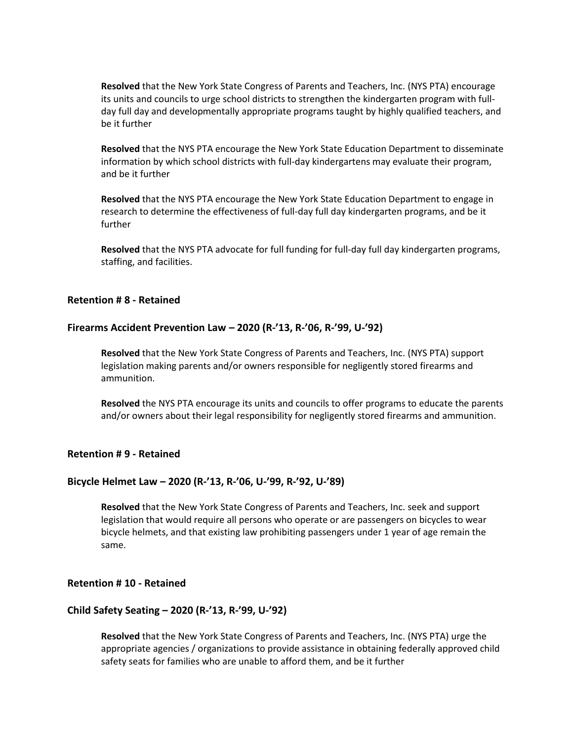**Resolved** that the New York State Congress of Parents and Teachers, Inc. (NYS PTA) encourage its units and councils to urge school districts to strengthen the kindergarten program with fullday full day and developmentally appropriate programs taught by highly qualified teachers, and be it further

**Resolved** that the NYS PTA encourage the New York State Education Department to disseminate information by which school districts with full-day kindergartens may evaluate their program, and be it further

**Resolved** that the NYS PTA encourage the New York State Education Department to engage in research to determine the effectiveness of full-day full day kindergarten programs, and be it further

**Resolved** that the NYS PTA advocate for full funding for full-day full day kindergarten programs, staffing, and facilities.

## **Retention # 8 - Retained**

#### **Firearms Accident Prevention Law – 2020 (R-'13, R-'06, R-'99, U-'92)**

**Resolved** that the New York State Congress of Parents and Teachers, Inc. (NYS PTA) support legislation making parents and/or owners responsible for negligently stored firearms and ammunition.

**Resolved** the NYS PTA encourage its units and councils to offer programs to educate the parents and/or owners about their legal responsibility for negligently stored firearms and ammunition.

#### **Retention # 9 - Retained**

#### **Bicycle Helmet Law – 2020 (R-'13, R-'06, U-'99, R-'92, U-'89)**

**Resolved** that the New York State Congress of Parents and Teachers, Inc. seek and support legislation that would require all persons who operate or are passengers on bicycles to wear bicycle helmets, and that existing law prohibiting passengers under 1 year of age remain the same.

## **Retention # 10 - Retained**

#### **Child Safety Seating – 2020 (R-'13, R-'99, U-'92)**

**Resolved** that the New York State Congress of Parents and Teachers, Inc. (NYS PTA) urge the appropriate agencies / organizations to provide assistance in obtaining federally approved child safety seats for families who are unable to afford them, and be it further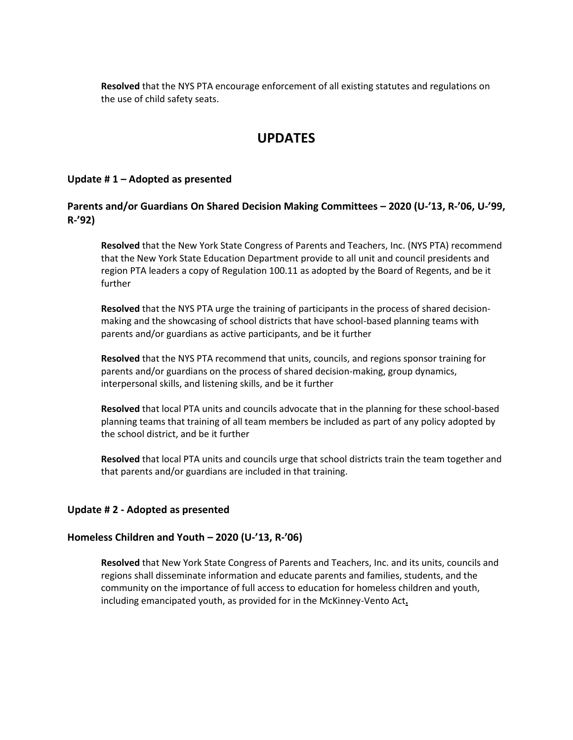**Resolved** that the NYS PTA encourage enforcement of all existing statutes and regulations on the use of child safety seats.

# **UPDATES**

## **Update # 1 – Adopted as presented**

## **Parents and/or Guardians On Shared Decision Making Committees – 2020 (U-'13, R-'06, U-'99, R-'92)**

**Resolved** that the New York State Congress of Parents and Teachers, Inc. (NYS PTA) recommend that the New York State Education Department provide to all unit and council presidents and region PTA leaders a copy of Regulation 100.11 as adopted by the Board of Regents, and be it further

**Resolved** that the NYS PTA urge the training of participants in the process of shared decisionmaking and the showcasing of school districts that have school-based planning teams with parents and/or guardians as active participants, and be it further

**Resolved** that the NYS PTA recommend that units, councils, and regions sponsor training for parents and/or guardians on the process of shared decision-making, group dynamics, interpersonal skills, and listening skills, and be it further

**Resolved** that local PTA units and councils advocate that in the planning for these school-based planning teams that training of all team members be included as part of any policy adopted by the school district, and be it further

**Resolved** that local PTA units and councils urge that school districts train the team together and that parents and/or guardians are included in that training.

## **Update # 2 - Adopted as presented**

## **Homeless Children and Youth – 2020 (U-'13, R-'06)**

**Resolved** that New York State Congress of Parents and Teachers, Inc. and its units, councils and regions shall disseminate information and educate parents and families, students, and the community on the importance of full access to education for homeless children and youth, including emancipated youth, as provided for in the McKinney-Vento Act**.**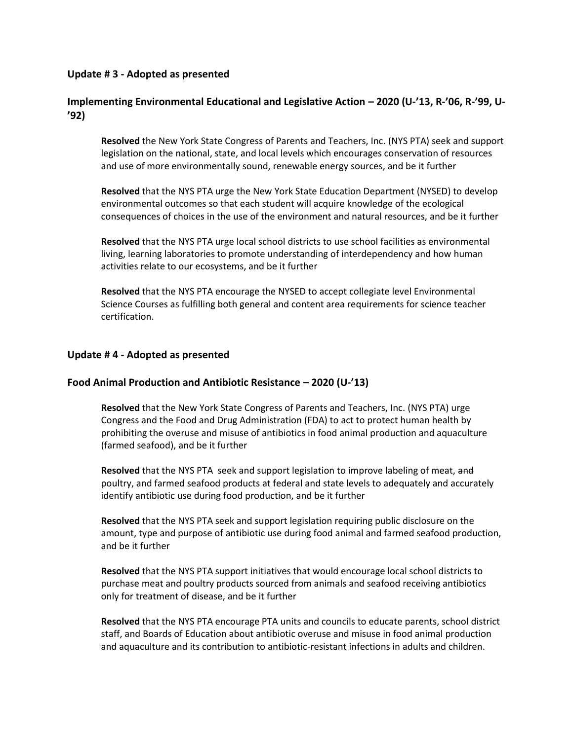## **Update # 3 - Adopted as presented**

# **Implementing Environmental Educational and Legislative Action – 2020 (U-'13, R-'06, R-'99, U- '92)**

**Resolved** the New York State Congress of Parents and Teachers, Inc. (NYS PTA) seek and support legislation on the national, state, and local levels which encourages conservation of resources and use of more environmentally sound, renewable energy sources, and be it further

**Resolved** that the NYS PTA urge the New York State Education Department (NYSED) to develop environmental outcomes so that each student will acquire knowledge of the ecological consequences of choices in the use of the environment and natural resources, and be it further

**Resolved** that the NYS PTA urge local school districts to use school facilities as environmental living, learning laboratories to promote understanding of interdependency and how human activities relate to our ecosystems, and be it further

**Resolved** that the NYS PTA encourage the NYSED to accept collegiate level Environmental Science Courses as fulfilling both general and content area requirements for science teacher certification.

## **Update # 4 - Adopted as presented**

## **Food Animal Production and Antibiotic Resistance – 2020 (U-'13)**

**Resolved** that the New York State Congress of Parents and Teachers, Inc. (NYS PTA) urge Congress and the Food and Drug Administration (FDA) to act to protect human health by prohibiting the overuse and misuse of antibiotics in food animal production and aquaculture (farmed seafood), and be it further

**Resolved** that the NYS PTA seek and support legislation to improve labeling of meat, and poultry, and farmed seafood products at federal and state levels to adequately and accurately identify antibiotic use during food production, and be it further

**Resolved** that the NYS PTA seek and support legislation requiring public disclosure on the amount, type and purpose of antibiotic use during food animal and farmed seafood production, and be it further

**Resolved** that the NYS PTA support initiatives that would encourage local school districts to purchase meat and poultry products sourced from animals and seafood receiving antibiotics only for treatment of disease, and be it further

**Resolved** that the NYS PTA encourage PTA units and councils to educate parents, school district staff, and Boards of Education about antibiotic overuse and misuse in food animal production and aquaculture and its contribution to antibiotic-resistant infections in adults and children.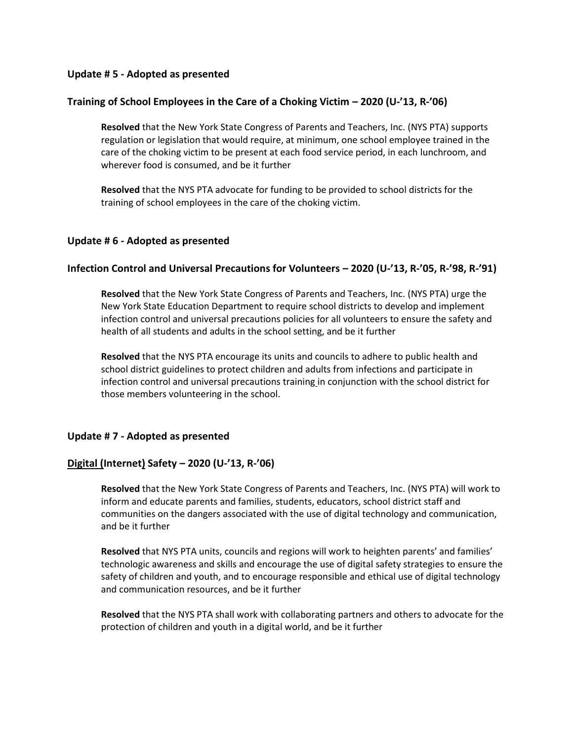## **Update # 5 - Adopted as presented**

## **Training of School Employees in the Care of a Choking Victim – 2020 (U-'13, R-'06)**

**Resolved** that the New York State Congress of Parents and Teachers, Inc. (NYS PTA) supports regulation or legislation that would require, at minimum, one school employee trained in the care of the choking victim to be present at each food service period, in each lunchroom, and wherever food is consumed, and be it further

**Resolved** that the NYS PTA advocate for funding to be provided to school districts for the training of school employees in the care of the choking victim.

## **Update # 6 - Adopted as presented**

## **Infection Control and Universal Precautions for Volunteers – 2020 (U-'13, R-'05, R-'98, R-'91)**

**Resolved** that the New York State Congress of Parents and Teachers, Inc. (NYS PTA) urge the New York State Education Department to require school districts to develop and implement infection control and universal precautions policies for all volunteers to ensure the safety and health of all students and adults in the school setting, and be it further

**Resolved** that the NYS PTA encourage its units and councils to adhere to public health and school district guidelines to protect children and adults from infections and participate in infection control and universal precautions training in conjunction with the school district for those members volunteering in the school.

## **Update # 7 - Adopted as presented**

## **Digital (Internet) Safety – 2020 (U-'13, R-'06)**

**Resolved** that the New York State Congress of Parents and Teachers, Inc. (NYS PTA) will work to inform and educate parents and families, students, educators, school district staff and communities on the dangers associated with the use of digital technology and communication, and be it further

**Resolved** that NYS PTA units, councils and regions will work to heighten parents' and families' technologic awareness and skills and encourage the use of digital safety strategies to ensure the safety of children and youth, and to encourage responsible and ethical use of digital technology and communication resources, and be it further

**Resolved** that the NYS PTA shall work with collaborating partners and others to advocate for the protection of children and youth in a digital world, and be it further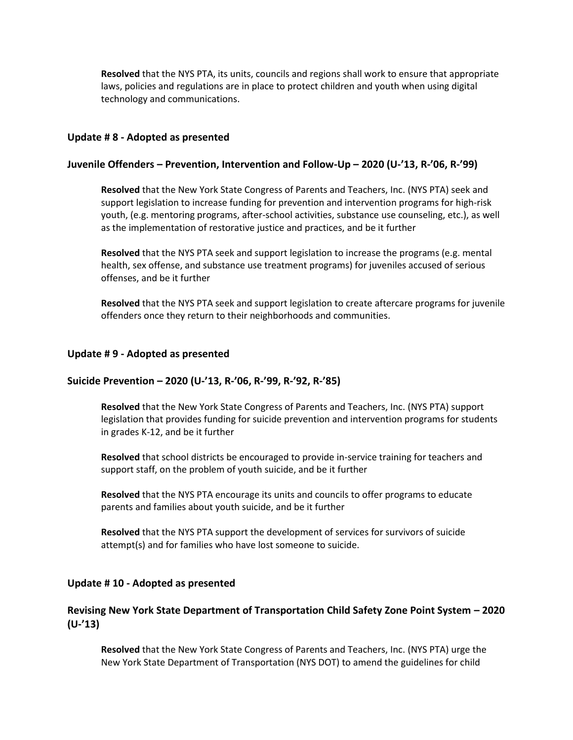**Resolved** that the NYS PTA, its units, councils and regions shall work to ensure that appropriate laws, policies and regulations are in place to protect children and youth when using digital technology and communications.

#### **Update # 8 - Adopted as presented**

## **Juvenile Offenders – Prevention, Intervention and Follow-Up – 2020 (U-'13, R-'06, R-'99)**

**Resolved** that the New York State Congress of Parents and Teachers, Inc. (NYS PTA) seek and support legislation to increase funding for prevention and intervention programs for high-risk youth, (e.g. mentoring programs, after-school activities, substance use counseling, etc.), as well as the implementation of restorative justice and practices, and be it further

**Resolved** that the NYS PTA seek and support legislation to increase the programs (e.g. mental health, sex offense, and substance use treatment programs) for juveniles accused of serious offenses, and be it further

**Resolved** that the NYS PTA seek and support legislation to create aftercare programs for juvenile offenders once they return to their neighborhoods and communities.

#### **Update # 9 - Adopted as presented**

#### **Suicide Prevention – 2020 (U-'13, R-'06, R-'99, R-'92, R-'85)**

**Resolved** that the New York State Congress of Parents and Teachers, Inc. (NYS PTA) support legislation that provides funding for suicide prevention and intervention programs for students in grades K-12, and be it further

**Resolved** that school districts be encouraged to provide in-service training for teachers and support staff, on the problem of youth suicide, and be it further

**Resolved** that the NYS PTA encourage its units and councils to offer programs to educate parents and families about youth suicide, and be it further

**Resolved** that the NYS PTA support the development of services for survivors of suicide attempt(s) and for families who have lost someone to suicide.

#### **Update # 10 - Adopted as presented**

## **Revising New York State Department of Transportation Child Safety Zone Point System – 2020 (U-'13)**

**Resolved** that the New York State Congress of Parents and Teachers, Inc. (NYS PTA) urge the New York State Department of Transportation (NYS DOT) to amend the guidelines for child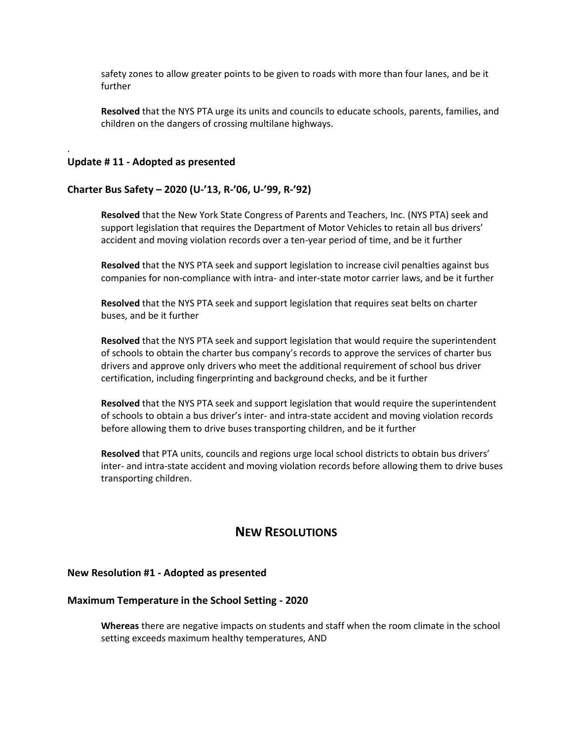safety zones to allow greater points to be given to roads with more than four lanes, and be it further

**Resolved** that the NYS PTA urge its units and councils to educate schools, parents, families, and children on the dangers of crossing multilane highways.

#### **Update # 11 - Adopted as presented**

.

#### **Charter Bus Safety – 2020 (U-'13, R-'06, U-'99, R-'92)**

**Resolved** that the New York State Congress of Parents and Teachers, Inc. (NYS PTA) seek and support legislation that requires the Department of Motor Vehicles to retain all bus drivers' accident and moving violation records over a ten-year period of time, and be it further

**Resolved** that the NYS PTA seek and support legislation to increase civil penalties against bus companies for non-compliance with intra- and inter-state motor carrier laws, and be it further

**Resolved** that the NYS PTA seek and support legislation that requires seat belts on charter buses, and be it further

**Resolved** that the NYS PTA seek and support legislation that would require the superintendent of schools to obtain the charter bus company's records to approve the services of charter bus drivers and approve only drivers who meet the additional requirement of school bus driver certification, including fingerprinting and background checks, and be it further

**Resolved** that the NYS PTA seek and support legislation that would require the superintendent of schools to obtain a bus driver's inter- and intra-state accident and moving violation records before allowing them to drive buses transporting children, and be it further

**Resolved** that PTA units, councils and regions urge local school districts to obtain bus drivers' inter- and intra-state accident and moving violation records before allowing them to drive buses transporting children.

# **NEW RESOLUTIONS**

#### **New Resolution #1 - Adopted as presented**

#### **Maximum Temperature in the School Setting - 2020**

**Whereas** there are negative impacts on students and staff when the room climate in the school setting exceeds maximum healthy temperatures, AND